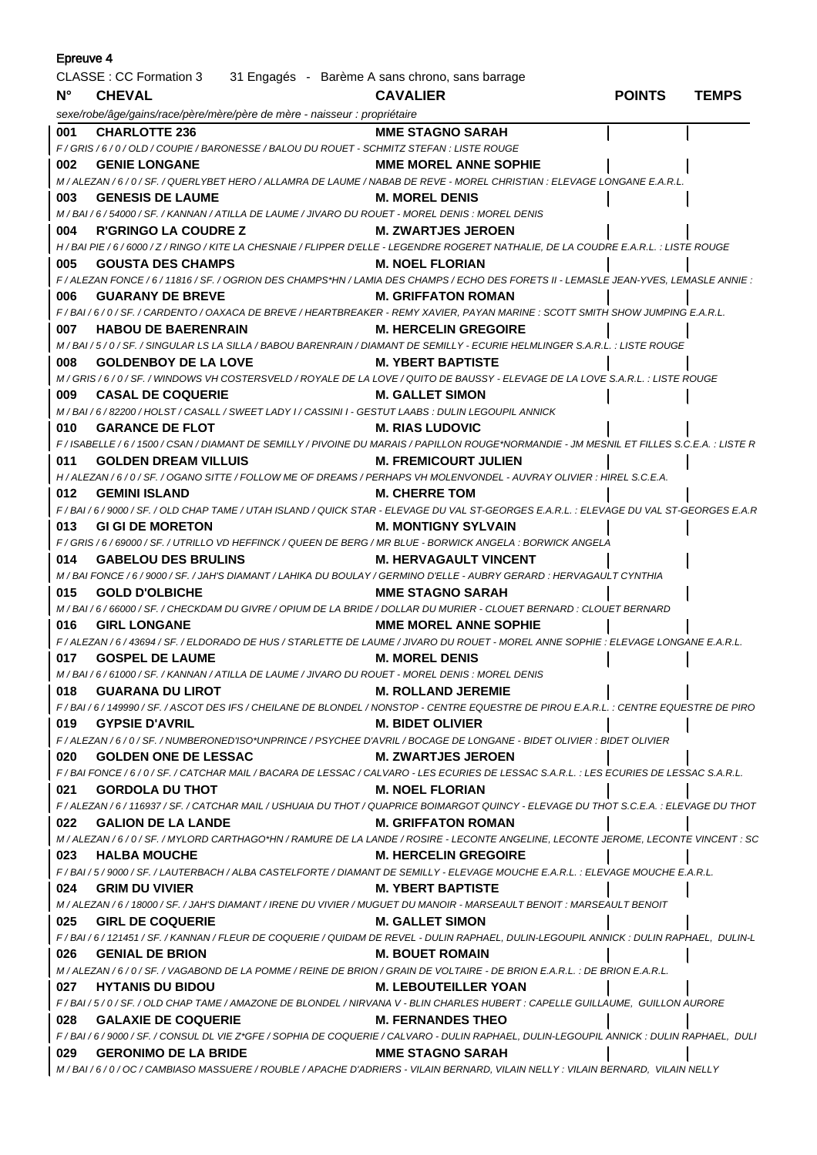| <b>Epreuve 4</b>                                                        |                                                                                                                                             |                              |               |              |
|-------------------------------------------------------------------------|---------------------------------------------------------------------------------------------------------------------------------------------|------------------------------|---------------|--------------|
| CLASSE : CC Formation 3 31 Engagés - Barème A sans chrono, sans barrage |                                                                                                                                             |                              |               |              |
| $N^{\circ}$                                                             | <b>CHEVAL</b>                                                                                                                               | <b>CAVALIER</b>              | <b>POINTS</b> | <b>TEMPS</b> |
|                                                                         | sexe/robe/âge/gains/race/père/mère/père de mère - naisseur : propriétaire                                                                   |                              |               |              |
| 001                                                                     | <b>CHARLOTTE 236</b>                                                                                                                        | <b>MME STAGNO SARAH</b>      |               |              |
|                                                                         | F/GRIS/6/0/OLD/COUPIE/BARONESSE/BALOU DU ROUET - SCHMITZ STEFAN: LISTE ROUGE                                                                |                              |               |              |
| 002                                                                     | <b>GENIE LONGANE</b>                                                                                                                        | <b>MME MOREL ANNE SOPHIE</b> |               |              |
|                                                                         | M / ALEZAN / 6 / 0 / SF. / QUERLYBET HERO / ALLAMRA DE LAUME / NABAB DE REVE - MOREL CHRISTIAN : ELEVAGE LONGANE E.A.R.L.                   |                              |               |              |
| 003                                                                     | <b>GENESIS DE LAUME</b><br><b>M. MOREL DENIS</b>                                                                                            |                              |               |              |
|                                                                         | M / BAI / 6 / 54000 / SF. / KANNAN / ATILLA DE LAUME / JIVARO DU ROUET - MOREL DENIS : MOREL DENIS                                          |                              |               |              |
| 004                                                                     | <b>R'GRINGO LA COUDRE Z</b>                                                                                                                 | <b>M. ZWARTJES JEROEN</b>    |               |              |
|                                                                         | H / BAI PIE / 6 / 6000 / Z / RINGO / KITE LA CHESNAIE / FLIPPER D'ELLE - LEGENDRE ROGERET NATHALIE, DE LA COUDRE E.A.R.L. : LISTE ROUGE     |                              |               |              |
| 005                                                                     | <b>GOUSTA DES CHAMPS</b>                                                                                                                    | <b>M. NOEL FLORIAN</b>       |               |              |
|                                                                         | F / ALEZAN FONCE / 6 / 11816 / SF. / OGRION DES CHAMPS*HN / LAMIA DES CHAMPS / ECHO DES FORETS II - LEMASLE JEAN-YVES, LEMASLE ANNIE :      |                              |               |              |
| 006                                                                     | <b>GUARANY DE BREVE</b>                                                                                                                     | <b>M. GRIFFATON ROMAN</b>    |               |              |
|                                                                         | F/BAI/6/0/SF./CARDENTO/OAXACA DE BREVE/HEARTBREAKER - REMY XAVIER, PAYAN MARINE : SCOTT SMITH SHOW JUMPING E.A.R.L.                         |                              |               |              |
| 007                                                                     | <b>HABOU DE BAERENRAIN</b>                                                                                                                  | <b>M. HERCELIN GREGOIRE</b>  |               |              |
|                                                                         | M / BAI / 5 / 0 / SF. / SINGULAR LS LA SILLA / BABOU BARENRAIN / DIAMANT DE SEMILLY - ECURIE HELMLINGER S.A.R.L. : LISTE ROUGE              |                              |               |              |
| 008                                                                     | <b>GOLDENBOY DE LA LOVE</b>                                                                                                                 | M. YBERT BAPTISTE            |               |              |
|                                                                         | M / GRIS / 6 / 0 / SF. / WINDOWS VH COSTERSVELD / ROYALE DE LA LOVE / QUITO DE BAUSSY - ELEVAGE DE LA LOVE S.A.R.L. : LISTE ROUGE           |                              |               |              |
| 009                                                                     | <b>CASAL DE COQUERIE</b>                                                                                                                    | <b>M. GALLET SIMON</b>       |               |              |
|                                                                         | M / BAI / 6 / 82200 / HOLST / CASALL / SWEET LADY I / CASSINI I - GESTUT LAABS : DULIN LEGOUPIL ANNICK                                      |                              |               |              |
| 010                                                                     | <b>GARANCE DE FLOT</b>                                                                                                                      | <b>M. RIAS LUDOVIC</b>       |               |              |
|                                                                         | F / ISABELLE / 6 / 1500 / CSAN / DIAMANT DE SEMILLY / PIVOINE DU MARAIS / PAPILLON ROUGE*NORMANDIE - JM MESNIL ET FILLES S.C.E.A. : LISTE R |                              |               |              |
| 011                                                                     | <b>GOLDEN DREAM VILLUIS</b>                                                                                                                 | <b>M. FREMICOURT JULIEN</b>  |               |              |
|                                                                         | H / ALEZAN / 6 / 0 / SF. / OGANO SITTE / FOLLOW ME OF DREAMS / PERHAPS VH MOLENVONDEL - AUVRAY OLIVIER : HIREL S.C.E.A.                     |                              |               |              |
| 012                                                                     | <b>GEMINI ISLAND</b>                                                                                                                        | <b>M. CHERRE TOM</b>         |               |              |
|                                                                         | F / BAI / 6 / 9000 / SF. / OLD CHAP TAME / UTAH ISLAND / QUICK STAR - ELEVAGE DU VAL ST-GEORGES E.A.R.L. : ELEVAGE DU VAL ST-GEORGES E.A.R  |                              |               |              |
| 013                                                                     | <b>GI GI DE MORETON</b>                                                                                                                     | M. MONTIGNY SYLVAIN          |               |              |
|                                                                         | F / GRIS / 6 / 69000 / SF. / UTRILLO VD HEFFINCK / QUEEN DE BERG / MR BLUE - BORWICK ANGELA : BORWICK ANGELA                                |                              |               |              |
| 014                                                                     | <b>GABELOU DES BRULINS</b>                                                                                                                  | M. HERVAGAULT VINCENT        |               |              |
|                                                                         | M / BAI FONCE / 6 / 9000 / SF. / JAH'S DIAMANT / LAHIKA DU BOULAY / GERMINO D'ELLE - AUBRY GERARD : HERVAGAULT CYNTHIA                      |                              |               |              |
| 015                                                                     | <b>GOLD D'OLBICHE</b>                                                                                                                       | MME STAGNO SARAH             |               |              |
|                                                                         |                                                                                                                                             |                              |               |              |
|                                                                         | M / BAI / 6 / 66000 / SF. / CHECKDAM DU GIVRE / OPIUM DE LA BRIDE / DOLLAR DU MURIER - CLOUET BERNARD : CLOUET BERNARD                      |                              |               |              |
| 016                                                                     | <b>GIRL LONGANE</b>                                                                                                                         | <b>MME MOREL ANNE SOPHIE</b> |               |              |
| 017                                                                     | F / ALEZAN / 6 / 43694 / SF. / ELDORADO DE HUS / STARLETTE DE LAUME / JIVARO DU ROUET - MOREL ANNE SOPHIE : ELEVAGE LONGANE E.A.R.L.        |                              |               |              |
|                                                                         | <b>GOSPEL DE LAUME</b>                                                                                                                      | <b>M. MOREL DENIS</b>        |               |              |
|                                                                         | M/BAI/6/61000/SF./KANNAN/ATILLA DE LAUME/JIVARO DU ROUET - MOREL DENIS : MOREL DENIS                                                        |                              |               |              |
| 018                                                                     | <b>GUARANA DU LIROT</b>                                                                                                                     | <b>M. ROLLAND JEREMIE</b>    |               |              |
|                                                                         | F / BAI / 6 / 149990 / SF. / ASCOT DES IFS / CHEILANE DE BLONDEL / NONSTOP - CENTRE EQUESTRE DE PIROU E.A.R.L. : CENTRE EQUESTRE DE PIRO    |                              |               |              |
| 019                                                                     | <b>GYPSIE D'AVRIL</b>                                                                                                                       | <b>M. BIDET OLIVIER</b>      |               |              |
|                                                                         | F / ALEZAN / 6 / 0 / SF. / NUMBERONED'ISO*UNPRINCE / PSYCHEE D'AVRIL / BOCAGE DE LONGANE - BIDET OLIVIER : BIDET OLIVIER                    |                              |               |              |
| 020                                                                     | <b>GOLDEN ONE DE LESSAC</b>                                                                                                                 | <b>M. ZWARTJES JEROEN</b>    |               |              |
|                                                                         | F / BAI FONCE / 6 / 0 / SF. / CATCHAR MAIL / BACARA DE LESSAC / CALVARO - LES ECURIES DE LESSAC S.A.R.L. : LES ECURIES DE LESSAC S.A.R.L.   |                              |               |              |
| 021                                                                     | <b>GORDOLA DU THOT</b>                                                                                                                      | <b>M. NOEL FLORIAN</b>       |               |              |
|                                                                         | F / ALEZAN / 6 / 116937 / SF. / CATCHAR MAIL / USHUAIA DU THOT / QUAPRICE BOIMARGOT QUINCY - ELEVAGE DU THOT S.C.E.A. : ELEVAGE DU THOT     |                              |               |              |
| 022                                                                     | <b>GALION DE LA LANDE</b>                                                                                                                   | <b>M. GRIFFATON ROMAN</b>    |               |              |
|                                                                         | M / ALEZAN / 6 / 0 / SF. / MYLORD CARTHAGO*HN / RAMURE DE LA LANDE / ROSIRE - LECONTE ANGELINE, LECONTE JEROME, LECONTE VINCENT : SC        |                              |               |              |
|                                                                         | 023 HALBA MOUCHE                                                                                                                            | <b>M. HERCELIN GREGOIRE</b>  |               |              |
|                                                                         | F / BAI / 5 / 9000 / SF. / LAUTERBACH / ALBA CASTELFORTE / DIAMANT DE SEMILLY - ELEVAGE MOUCHE E.A.R.L. : ELEVAGE MOUCHE E.A.R.L.           |                              |               |              |
| 024                                                                     | <b>GRIM DU VIVIER</b>                                                                                                                       | <b>M. YBERT BAPTISTE</b>     |               |              |
|                                                                         | M / ALEZAN / 6 / 18000 / SF. / JAH'S DIAMANT / IRENE DU VIVIER / MUGUET DU MANOIR - MARSEAULT BENOIT : MARSEAULT BENOIT                     |                              |               |              |
| 025                                                                     | <b>GIRL DE COQUERIE</b>                                                                                                                     | <b>M. GALLET SIMON</b>       |               |              |
|                                                                         | F / BAI / 6 / 121451 / SF. / KANNAN / FLEUR DE COQUERIE / QUIDAM DE REVEL - DULIN RAPHAEL, DULIN-LEGOUPIL ANNICK : DULIN RAPHAEL, DULIN-L   |                              |               |              |
| 026                                                                     | <b>GENIAL DE BRION</b>                                                                                                                      | <b>M. BOUET ROMAIN</b>       |               |              |
|                                                                         | M / ALEZAN / 6 / 0 / SF. / VAGABOND DE LA POMME / REINE DE BRION / GRAIN DE VOLTAIRE - DE BRION E.A.R.L. : DE BRION E.A.R.L.                |                              |               |              |
| 027                                                                     | <b>HYTANIS DU BIDOU</b>                                                                                                                     | <b>M. LEBOUTEILLER YOAN</b>  |               |              |
|                                                                         | F / BAI / 5 / 0 / SF. / OLD CHAP TAME / AMAZONE DE BLONDEL / NIRVANA V - BLIN CHARLES HUBERT : CAPELLE GUILLAUME, GUILLON AURORE            |                              |               |              |
| 028                                                                     | <b>GALAXIE DE COQUERIE</b>                                                                                                                  | <b>M. FERNANDES THEO</b>     |               |              |
|                                                                         | F / BAI / 6 / 9000 / SF. / CONSUL DL VIE Z*GFE / SOPHIA DE COQUERIE / CALVARO - DULIN RAPHAEL, DULIN-LEGOUPIL ANNICK : DULIN RAPHAEL, DULI  |                              |               |              |
| 029                                                                     | <b>GERONIMO DE LA BRIDE</b>                                                                                                                 | <b>MME STAGNO SARAH</b>      |               |              |
|                                                                         | M / BAI / 6 / 0 / OC / CAMBIASO MASSUERE / ROUBLE / APACHE D'ADRIERS - VILAIN BERNARD, VILAIN NELLY : VILAIN BERNARD, VILAIN NELLY          |                              |               |              |